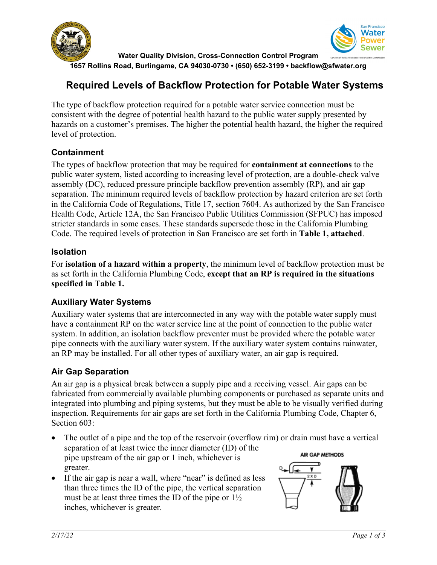

# **Required Levels of Backflow Protection for Potable Water Systems**

The type of backflow protection required for a potable water service connection must be consistent with the degree of potential health hazard to the public water supply presented by hazards on a customer's premises. The higher the potential health hazard, the higher the required level of protection.

## **Containment**

The types of backflow protection that may be required for **containment at connections** to the public water system, listed according to increasing level of protection, are a double-check valve assembly (DC), reduced pressure principle backflow prevention assembly (RP), and air gap separation. The minimum required levels of backflow protection by hazard criterion are set forth in the California Code of Regulations, Title 17, section 7604. As authorized by the San Francisco Health Code, Article 12A, the San Francisco Public Utilities Commission (SFPUC) has imposed stricter standards in some cases. These standards supersede those in the California Plumbing Code. The required levels of protection in San Francisco are set forth in **Table 1, attached**.

## **Isolation**

For **isolation of a hazard within a property**, the minimum level of backflow protection must be as set forth in the California Plumbing Code, **except that an RP is required in the situations specified in Table 1.**

## **Auxiliary Water Systems**

Auxiliary water systems that are interconnected in any way with the potable water supply must have a containment RP on the water service line at the point of connection to the public water system. In addition, an isolation backflow preventer must be provided where the potable water pipe connects with the auxiliary water system. If the auxiliary water system contains rainwater, an RP may be installed. For all other types of auxiliary water, an air gap is required.

## **Air Gap Separation**

An air gap is a physical break between a supply pipe and a receiving vessel. Air gaps can be fabricated from commercially available plumbing components or purchased as separate units and integrated into plumbing and piping systems, but they must be able to be visually verified during inspection. Requirements for air gaps are set forth in the California Plumbing Code, Chapter 6, Section 603:

- The outlet of a pipe and the top of the reservoir (overflow rim) or drain must have a vertical separation of at least twice the inner diameter (ID) of the **AIR GAP METHODS** pipe upstream of the air gap or 1 inch, whichever is greater.
- If the air gap is near a wall, where "near" is defined as less than three times the ID of the pipe, the vertical separation must be at least three times the ID of the pipe or  $1\frac{1}{2}$ inches, whichever is greater.

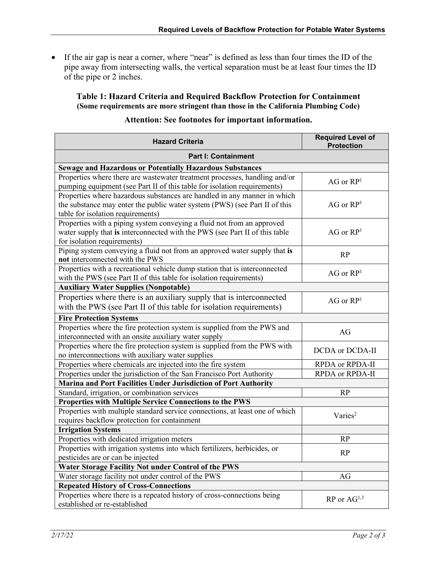• If the air gap is near a corner, where "near" is defined as less than four times the ID of the pipe away from intersecting walls, the vertical separation must be at least four times the ID of the pipe or 2 inches.

**Table 1: Hazard Criteria and Required Backflow Protection for Containment (Some requirements are more stringent than those in the California Plumbing Code)**

| <b>Hazard Criteria</b>                                                       | <b>Required Level of</b><br><b>Protection</b> |  |
|------------------------------------------------------------------------------|-----------------------------------------------|--|
| <b>Part I: Containment</b>                                                   |                                               |  |
| <b>Sewage and Hazardous or Potentially Hazardous Substances</b>              |                                               |  |
| Properties where there are wastewater treatment processes, handling and/or   | $\rm{AG}$ or $\rm{RP}^1$                      |  |
| pumping equipment (see Part II of this table for isolation requirements)     |                                               |  |
| Properties where hazardous substances are handled in any manner in which     |                                               |  |
| the substance may enter the public water system (PWS) (see Part II of this   | $AG$ or $RP1$                                 |  |
| table for isolation requirements)                                            |                                               |  |
| Properties with a piping system conveying a fluid not from an approved       |                                               |  |
| water supply that is interconnected with the PWS (see Part II of this table  | $AG$ or $RP1$                                 |  |
| for isolation requirements)                                                  |                                               |  |
| Piping system conveying a fluid not from an approved water supply that is    | <b>RP</b>                                     |  |
| not interconnected with the PWS                                              |                                               |  |
| Properties with a recreational vehicle dump station that is interconnected   | $AG$ or $RP1$                                 |  |
| with the PWS (see Part II of this table for isolation requirements)          |                                               |  |
| <b>Auxiliary Water Supplies (Nonpotable)</b>                                 |                                               |  |
| Properties where there is an auxiliary supply that is interconnected         | $AG$ or $RP1$                                 |  |
| with the PWS (see Part II of this table for isolation requirements)          |                                               |  |
| <b>Fire Protection Systems</b>                                               |                                               |  |
| Properties where the fire protection system is supplied from the PWS and     | AG                                            |  |
| interconnected with an onsite auxiliary water supply                         |                                               |  |
| Properties where the fire protection system is supplied from the PWS with    | DCDA or DCDA-II                               |  |
| no interconnections with auxiliary water supplies                            |                                               |  |
| Properties where chemicals are injected into the fire system                 | RPDA or RPDA-II                               |  |
| Properties under the jurisdiction of the San Francisco Port Authority        | RPDA or RPDA-II                               |  |
| Marina and Port Facilities Under Jurisdiction of Port Authority              |                                               |  |
| Standard, irrigation, or combination services                                | RP                                            |  |
| Properties with Multiple Service Connections to the PWS                      |                                               |  |
| Properties with multiple standard service connections, at least one of which | Varies <sup>2</sup>                           |  |
| requires backflow protection for containment                                 |                                               |  |
| <b>Irrigation Systems</b>                                                    |                                               |  |
| Properties with dedicated irrigation meters                                  | <b>RP</b>                                     |  |
| Properties with irrigation systems into which fertilizers, herbicides, or    | RP                                            |  |
| pesticides are or can be injected                                            |                                               |  |
| Water Storage Facility Not under Control of the PWS                          |                                               |  |
| Water storage facility not under control of the PWS                          | AG                                            |  |
| <b>Repeated History of Cross-Connections</b>                                 |                                               |  |
| Properties where there is a repeated history of cross-connections being      | $RP$ or $AG^{1,3}$                            |  |
| established or re-established                                                |                                               |  |

### **Attention: See footnotes for important information.**